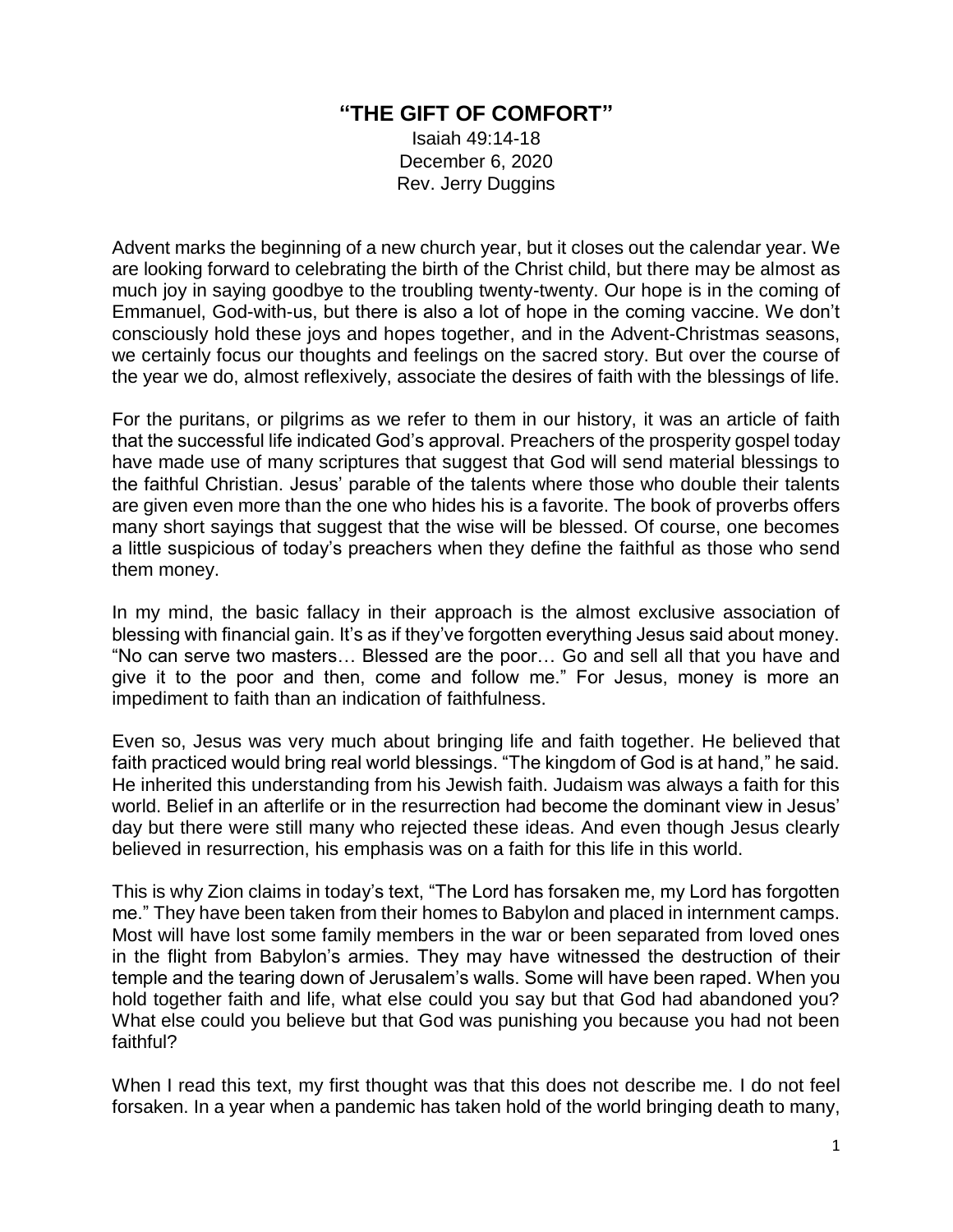## **"THE GIFT OF COMFORT"**

Isaiah 49:14-18 December 6, 2020 Rev. Jerry Duggins

Advent marks the beginning of a new church year, but it closes out the calendar year. We are looking forward to celebrating the birth of the Christ child, but there may be almost as much joy in saying goodbye to the troubling twenty-twenty. Our hope is in the coming of Emmanuel, God-with-us, but there is also a lot of hope in the coming vaccine. We don't consciously hold these joys and hopes together, and in the Advent-Christmas seasons, we certainly focus our thoughts and feelings on the sacred story. But over the course of the year we do, almost reflexively, associate the desires of faith with the blessings of life.

For the puritans, or pilgrims as we refer to them in our history, it was an article of faith that the successful life indicated God's approval. Preachers of the prosperity gospel today have made use of many scriptures that suggest that God will send material blessings to the faithful Christian. Jesus' parable of the talents where those who double their talents are given even more than the one who hides his is a favorite. The book of proverbs offers many short sayings that suggest that the wise will be blessed. Of course, one becomes a little suspicious of today's preachers when they define the faithful as those who send them money.

In my mind, the basic fallacy in their approach is the almost exclusive association of blessing with financial gain. It's as if they've forgotten everything Jesus said about money. "No can serve two masters… Blessed are the poor… Go and sell all that you have and give it to the poor and then, come and follow me." For Jesus, money is more an impediment to faith than an indication of faithfulness.

Even so, Jesus was very much about bringing life and faith together. He believed that faith practiced would bring real world blessings. "The kingdom of God is at hand," he said. He inherited this understanding from his Jewish faith. Judaism was always a faith for this world. Belief in an afterlife or in the resurrection had become the dominant view in Jesus' day but there were still many who rejected these ideas. And even though Jesus clearly believed in resurrection, his emphasis was on a faith for this life in this world.

This is why Zion claims in today's text, "The Lord has forsaken me, my Lord has forgotten me." They have been taken from their homes to Babylon and placed in internment camps. Most will have lost some family members in the war or been separated from loved ones in the flight from Babylon's armies. They may have witnessed the destruction of their temple and the tearing down of Jerusalem's walls. Some will have been raped. When you hold together faith and life, what else could you say but that God had abandoned you? What else could you believe but that God was punishing you because you had not been faithful?

When I read this text, my first thought was that this does not describe me. I do not feel forsaken. In a year when a pandemic has taken hold of the world bringing death to many,